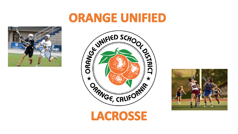#### **ORANGE UNIFIED**





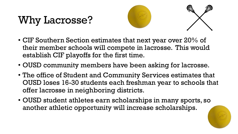# Why Lacrosse?





- CIF Southern Section estimates that next year over 20% of their member schools will compete in lacrosse. This would establish CIF playoffs for the first time.
- OUSD community members have been asking for lacrosse.
- The office of Student and Community Services estimates that OUSD loses 16-30 students each freshman year to schools that offer lacrosse in neighboring districts.
- OUSD student athletes earn scholarships in many sports, so another athletic opportunity will increase scholarships.

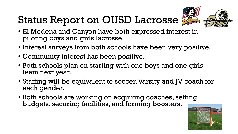# Status Report on OUSD Lacrosse



- El Modena and Canyon have both expressed interest in piloting boys and girls lacrosse.
- Interest surveys from both schools have been very positive.
- Community interest has been positive.
- Both schools plan on starting with one boys and one girls team next year.
- Staffing will be equivalent to soccer. Varsity and JV coach for each gender.
- Both schools are working on acquiring coaches, setting budgets, securing facilities, and forming boosters.

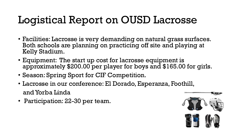### Logistical Report on OUSD Lacrosse

- Facilities: Lacrosse is very demanding on natural grass surfaces. Both schools are planning on practicing off site and playing at Kelly Stadium.
- Equipment: The start up cost for lacrosse equipment is approximately \$200.00 per player for boys and \$165.00 for girls.
- Season: Spring Sport for CIF Competition.
- Lacrosse in our conference: El Dorado, Esperanza, Foothill, and Yorba Linda
- Participation: 22-30 per team.